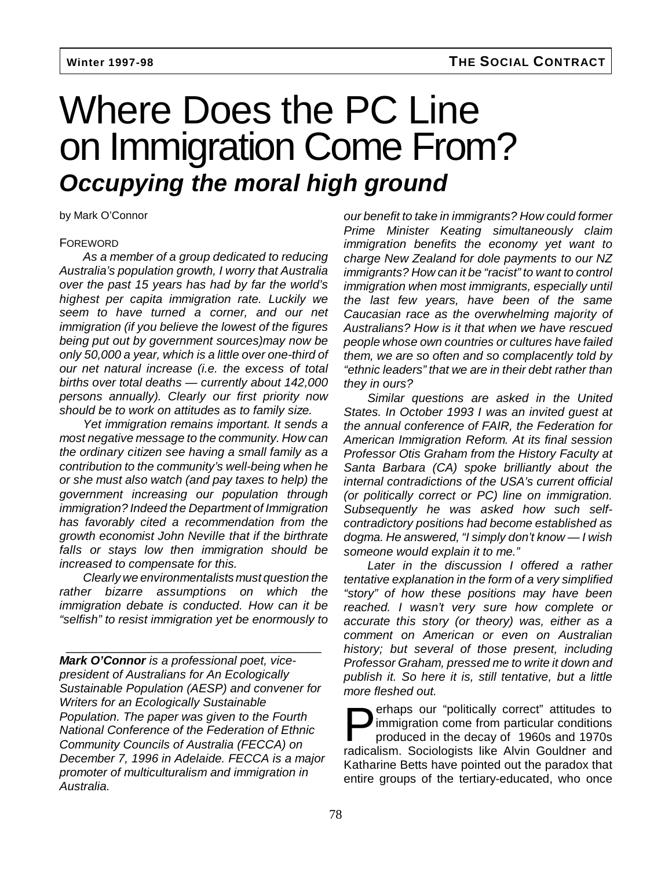# Where Does the PC Line on Immigration Come From? **Occupying the moral high ground**

by Mark O'Connor

### FOREWORD

As a member of a group dedicated to reducing Australia's population growth, I worry that Australia over the past 15 years has had by far the world's highest per capita immigration rate. Luckily we seem to have turned a corner, and our net immigration (if you believe the lowest of the figures being put out by government sources)may now be only 50,000 a year, which is a little over one-third of our net natural increase (i.e. the excess of total births over total deaths — currently about 142,000 persons annually). Clearly our first priority now should be to work on attitudes as to family size.

Yet immigration remains important. It sends a most negative message to the community. How can the ordinary citizen see having a small family as a contribution to the community's well-being when he or she must also watch (and pay taxes to help) the government increasing our population through immigration? Indeed the Department of Immigration has favorably cited a recommendation from the growth economist John Neville that if the birthrate falls or stays low then immigration should be increased to compensate for this.

Clearly we environmentalists must question the rather bizarre assumptions on which the immigration debate is conducted. How can it be "selfish" to resist immigration yet be enormously to

\_\_\_\_\_\_\_\_\_\_\_\_\_\_\_\_\_\_\_\_\_\_\_\_\_\_\_\_\_\_\_\_\_\_\_\_\_\_

**Mark O'Connor** is a professional poet, vicepresident of Australians for An Ecologically Sustainable Population (AESP) and convener for Writers for an Ecologically Sustainable Population. The paper was given to the Fourth National Conference of the Federation of Ethnic Community Councils of Australia (FECCA) on December 7, 1996 in Adelaide. FECCA is a major promoter of multiculturalism and immigration in Australia.

our benefit to take in immigrants? How could former Prime Minister Keating simultaneously claim immigration benefits the economy yet want to charge New Zealand for dole payments to our NZ immigrants? How can it be "racist" to want to control immigration when most immigrants, especially until the last few years, have been of the same Caucasian race as the overwhelming majority of Australians? How is it that when we have rescued people whose own countries or cultures have failed them, we are so often and so complacently told by "ethnic leaders" that we are in their debt rather than they in ours?

Similar questions are asked in the United States. In October 1993 I was an invited guest at the annual conference of FAIR, the Federation for American Immigration Reform. At its final session Professor Otis Graham from the History Faculty at Santa Barbara (CA) spoke brilliantly about the internal contradictions of the USA's current official (or politically correct or PC) line on immigration. Subsequently he was asked how such selfcontradictory positions had become established as dogma. He answered, "I simply don't know — I wish someone would explain it to me."

Later in the discussion I offered a rather tentative explanation in the form of a very simplified "story" of how these positions may have been reached. I wasn't very sure how complete or accurate this story (or theory) was, either as a comment on American or even on Australian history; but several of those present, including Professor Graham, pressed me to write it down and publish it. So here it is, still tentative, but a little more fleshed out.

**Perhaps our "politically correct" attitudes to<br>minigration come from particular conditions<br>produced in the decay of 1960s and 1970s<br>redisclient Sociologists like Ahim Couldner and** immigration come from particular conditions produced in the decay of 1960s and 1970s radicalism. Sociologists like Alvin Gouldner and Katharine Betts have pointed out the paradox that entire groups of the tertiary-educated, who once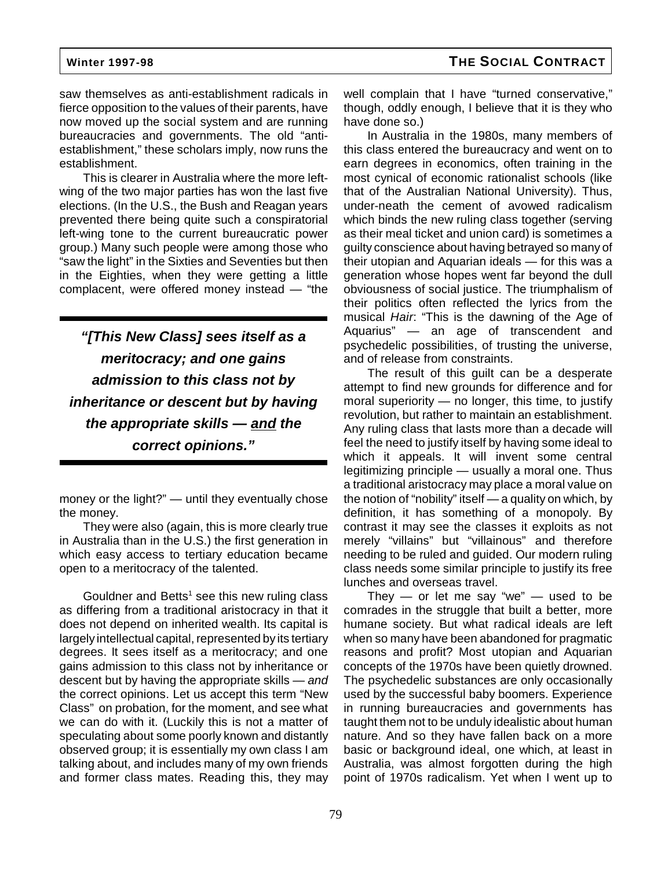saw themselves as anti-establishment radicals in fierce opposition to the values of their parents, have now moved up the social system and are running bureaucracies and governments. The old "antiestablishment," these scholars imply, now runs the establishment.

This is clearer in Australia where the more leftwing of the two major parties has won the last five elections. (In the U.S., the Bush and Reagan years prevented there being quite such a conspiratorial left-wing tone to the current bureaucratic power group.) Many such people were among those who "saw the light" in the Sixties and Seventies but then in the Eighties, when they were getting a little complacent, were offered money instead — "the

**"[This New Class] sees itself as a meritocracy; and one gains admission to this class not by inheritance or descent but by having the appropriate skills — and the correct opinions."**

money or the light?" — until they eventually chose the money.

They were also (again, this is more clearly true in Australia than in the U.S.) the first generation in which easy access to tertiary education became open to a meritocracy of the talented.

Gouldner and Betts<sup>1</sup> see this new ruling class as differing from a traditional aristocracy in that it does not depend on inherited wealth. Its capital is largely intellectual capital, represented by its tertiary degrees. It sees itself as a meritocracy; and one gains admission to this class not by inheritance or descent but by having the appropriate skills — and the correct opinions. Let us accept this term "New Class" on probation, for the moment, and see what we can do with it. (Luckily this is not a matter of speculating about some poorly known and distantly observed group; it is essentially my own class I am talking about, and includes many of my own friends and former class mates. Reading this, they may

well complain that I have "turned conservative," though, oddly enough, I believe that it is they who have done so.)

In Australia in the 1980s, many members of this class entered the bureaucracy and went on to earn degrees in economics, often training in the most cynical of economic rationalist schools (like that of the Australian National University). Thus, under-neath the cement of avowed radicalism which binds the new ruling class together (serving as their meal ticket and union card) is sometimes a guilty conscience about having betrayed so many of their utopian and Aquarian ideals — for this was a generation whose hopes went far beyond the dull obviousness of social justice. The triumphalism of their politics often reflected the lyrics from the musical Hair: "This is the dawning of the Age of Aquarius" — an age of transcendent and psychedelic possibilities, of trusting the universe, and of release from constraints.

The result of this guilt can be a desperate attempt to find new grounds for difference and for moral superiority — no longer, this time, to justify revolution, but rather to maintain an establishment. Any ruling class that lasts more than a decade will feel the need to justify itself by having some ideal to which it appeals. It will invent some central legitimizing principle — usually a moral one. Thus a traditional aristocracy may place a moral value on the notion of "nobility" itself — a quality on which, by definition, it has something of a monopoly. By contrast it may see the classes it exploits as not merely "villains" but "villainous" and therefore needing to be ruled and guided. Our modern ruling class needs some similar principle to justify its free lunches and overseas travel.

They  $-$  or let me say "we"  $-$  used to be comrades in the struggle that built a better, more humane society. But what radical ideals are left when so many have been abandoned for pragmatic reasons and profit? Most utopian and Aquarian concepts of the 1970s have been quietly drowned. The psychedelic substances are only occasionally used by the successful baby boomers. Experience in running bureaucracies and governments has taught them not to be unduly idealistic about human nature. And so they have fallen back on a more basic or background ideal, one which, at least in Australia, was almost forgotten during the high point of 1970s radicalism. Yet when I went up to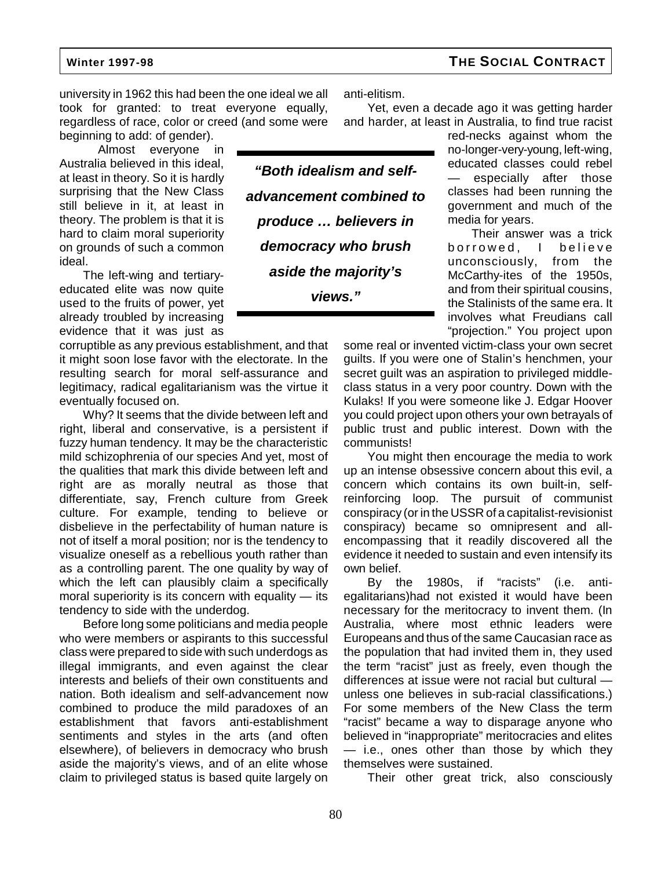university in 1962 this had been the one ideal we all took for granted: to treat everyone equally, regardless of race, color or creed (and some were beginning to add: of gender).

 Almost everyone in Australia believed in this ideal, at least in theory. So it is hardly surprising that the New Class still believe in it, at least in theory. The problem is that it is hard to claim moral superiority on grounds of such a common ideal.

The left-wing and tertiaryeducated elite was now quite used to the fruits of power, yet already troubled by increasing evidence that it was just as

corruptible as any previous establishment, and that it might soon lose favor with the electorate. In the resulting search for moral self-assurance and legitimacy, radical egalitarianism was the virtue it eventually focused on.

Why? It seems that the divide between left and right, liberal and conservative, is a persistent if fuzzy human tendency. It may be the characteristic mild schizophrenia of our species And yet, most of the qualities that mark this divide between left and right are as morally neutral as those that differentiate, say, French culture from Greek culture. For example, tending to believe or disbelieve in the perfectability of human nature is not of itself a moral position; nor is the tendency to visualize oneself as a rebellious youth rather than as a controlling parent. The one quality by way of which the left can plausibly claim a specifically moral superiority is its concern with equality — its tendency to side with the underdog.

Before long some politicians and media people who were members or aspirants to this successful class were prepared to side with such underdogs as illegal immigrants, and even against the clear interests and beliefs of their own constituents and nation. Both idealism and self-advancement now combined to produce the mild paradoxes of an establishment that favors anti-establishment sentiments and styles in the arts (and often elsewhere), of believers in democracy who brush aside the majority's views, and of an elite whose claim to privileged status is based quite largely on anti-elitism.

Yet, even a decade ago it was getting harder and harder, at least in Australia, to find true racist

**"Both idealism and selfadvancement combined to produce … believers in democracy who brush aside the majority's views."**

red-necks against whom the no-longer-very-young, left-wing, educated classes could rebel especially after those classes had been running the government and much of the media for years.

Their answer was a trick borrowed, I believe unconsciously, from the McCarthy-ites of the 1950s, and from their spiritual cousins, the Stalinists of the same era. It involves what Freudians call "projection." You project upon

some real or invented victim-class your own secret guilts. If you were one of Stalin's henchmen, your secret guilt was an aspiration to privileged middleclass status in a very poor country. Down with the Kulaks! If you were someone like J. Edgar Hoover you could project upon others your own betrayals of public trust and public interest. Down with the communists!

You might then encourage the media to work up an intense obsessive concern about this evil, a concern which contains its own built-in, selfreinforcing loop. The pursuit of communist conspiracy (or in the USSR of a capitalist-revisionist conspiracy) became so omnipresent and allencompassing that it readily discovered all the evidence it needed to sustain and even intensify its own belief.

By the 1980s, if "racists" (i.e. antiegalitarians)had not existed it would have been necessary for the meritocracy to invent them. (In Australia, where most ethnic leaders were Europeans and thus of the same Caucasian race as the population that had invited them in, they used the term "racist" just as freely, even though the differences at issue were not racial but cultural unless one believes in sub-racial classifications.) For some members of the New Class the term "racist" became a way to disparage anyone who believed in "inappropriate" meritocracies and elites — i.e., ones other than those by which they themselves were sustained.

Their other great trick, also consciously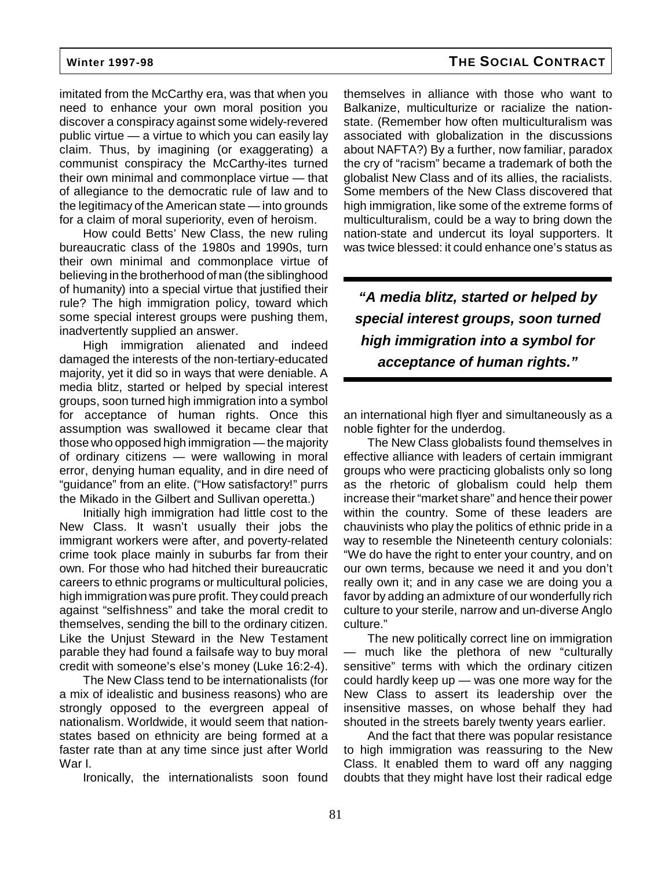imitated from the McCarthy era, was that when you need to enhance your own moral position you discover a conspiracy against some widely-revered public virtue — a virtue to which you can easily lay claim. Thus, by imagining (or exaggerating) a communist conspiracy the McCarthy-ites turned their own minimal and commonplace virtue — that of allegiance to the democratic rule of law and to the legitimacy of the American state — into grounds for a claim of moral superiority, even of heroism.

How could Betts' New Class, the new ruling bureaucratic class of the 1980s and 1990s, turn their own minimal and commonplace virtue of believing in the brotherhood of man (the siblinghood of humanity) into a special virtue that justified their rule? The high immigration policy, toward which some special interest groups were pushing them, inadvertently supplied an answer.

High immigration alienated and indeed damaged the interests of the non-tertiary-educated majority, yet it did so in ways that were deniable. A media blitz, started or helped by special interest groups, soon turned high immigration into a symbol for acceptance of human rights. Once this assumption was swallowed it became clear that those who opposed high immigration — the majority of ordinary citizens — were wallowing in moral error, denying human equality, and in dire need of "guidance" from an elite. ("How satisfactory!" purrs the Mikado in the Gilbert and Sullivan operetta.)

Initially high immigration had little cost to the New Class. It wasn't usually their jobs the immigrant workers were after, and poverty-related crime took place mainly in suburbs far from their own. For those who had hitched their bureaucratic careers to ethnic programs or multicultural policies, high immigration was pure profit. They could preach against "selfishness" and take the moral credit to themselves, sending the bill to the ordinary citizen. Like the Unjust Steward in the New Testament parable they had found a failsafe way to buy moral credit with someone's else's money (Luke 16:2-4).

The New Class tend to be internationalists (for a mix of idealistic and business reasons) who are strongly opposed to the evergreen appeal of nationalism. Worldwide, it would seem that nationstates based on ethnicity are being formed at a faster rate than at any time since just after World War I.

Ironically, the internationalists soon found

themselves in alliance with those who want to Balkanize, multiculturize or racialize the nationstate. (Remember how often multiculturalism was associated with globalization in the discussions about NAFTA?) By a further, now familiar, paradox the cry of "racism" became a trademark of both the globalist New Class and of its allies, the racialists. Some members of the New Class discovered that high immigration, like some of the extreme forms of multiculturalism, could be a way to bring down the nation-state and undercut its loyal supporters. It was twice blessed: it could enhance one's status as

**"A media blitz, started or helped by special interest groups, soon turned high immigration into a symbol for acceptance of human rights."**

an international high flyer and simultaneously as a noble fighter for the underdog.

The New Class globalists found themselves in effective alliance with leaders of certain immigrant groups who were practicing globalists only so long as the rhetoric of globalism could help them increase their "market share" and hence their power within the country. Some of these leaders are chauvinists who play the politics of ethnic pride in a way to resemble the Nineteenth century colonials: "We do have the right to enter your country, and on our own terms, because we need it and you don't really own it; and in any case we are doing you a favor by adding an admixture of our wonderfully rich culture to your sterile, narrow and un-diverse Anglo culture."

The new politically correct line on immigration — much like the plethora of new "culturally sensitive" terms with which the ordinary citizen could hardly keep up — was one more way for the New Class to assert its leadership over the insensitive masses, on whose behalf they had shouted in the streets barely twenty years earlier.

And the fact that there was popular resistance to high immigration was reassuring to the New Class. It enabled them to ward off any nagging doubts that they might have lost their radical edge